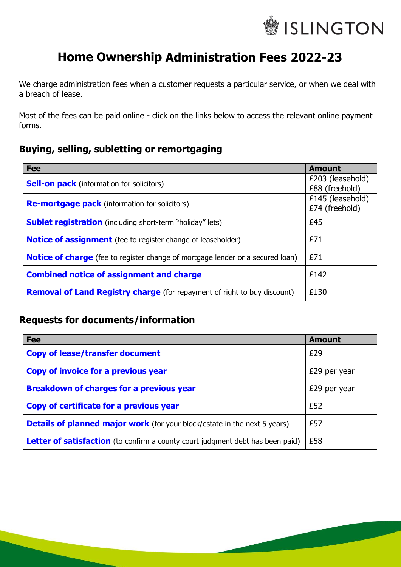

# **Home Ownership Administration Fees 2022-23**

We charge administration fees when a customer requests a particular service, or when we deal with a breach of lease.

Most of the fees can be paid online - click on the links below to access the relevant online payment forms.

### **Buying, selling, subletting or remortgaging**

| <b>Fee</b>                                                                            | <b>Amount</b>                      |
|---------------------------------------------------------------------------------------|------------------------------------|
| <b>Sell-on pack</b> (information for solicitors)                                      | £203 (leasehold)<br>£88 (freehold) |
| <b>Re-mortgage pack</b> (information for solicitors)                                  | £145 (leasehold)<br>£74 (freehold) |
| <b>Sublet registration</b> (including short-term "holiday" lets)                      | £45                                |
| <b>Notice of assignment</b> (fee to register change of leaseholder)                   | £71                                |
| <b>Notice of charge</b> (fee to register change of mortgage lender or a secured loan) | £71                                |
| <b>Combined notice of assignment and charge</b>                                       | £142                               |
| <b>Removal of Land Registry charge</b> (for repayment of right to buy discount)       | £130                               |

### **Requests for documents/information**

| <b>Fee</b>                                                                            | <b>Amount</b> |
|---------------------------------------------------------------------------------------|---------------|
| <b>Copy of lease/transfer document</b>                                                | £29           |
| Copy of invoice for a previous year                                                   | £29 per year  |
| <b>Breakdown of charges for a previous year</b>                                       | £29 per year  |
| Copy of certificate for a previous year                                               | £52           |
| <b>Details of planned major work</b> (for your block/estate in the next 5 years)      | £57           |
| <b>Letter of satisfaction</b> (to confirm a county court judgment debt has been paid) | £58           |